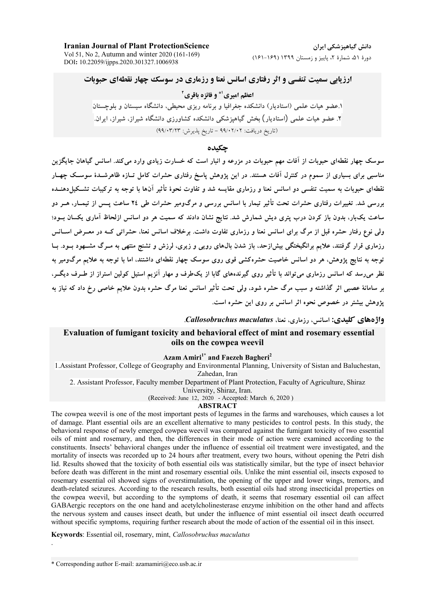**Iranian Journal of Plant ProtectionScience** Vol 51, No 2, Autumn and winter 2020 (161-169) DOI: 10.22059/ijpps.2020.301327.1006938

دانش گیاهیزشکے ایران دورهٔ ۵۱، شمارهٔ ۲، پاییز و زمستان ۱۳۹۹ (۱۶۹-۱۶۱)

**ارزیابی سمیت تنفسی و اثر رفتاری اسانس نعنا و رزماری در سوسک چهار نقطهای حبوبات** 

## اعظم اميري<sup>1\*</sup> و فائزه باقري<sup>2</sup>

۱.عضو هیات علمی (استادیار) دانشکده جغرافیا و برنامه ریزی محیطی، دانشگاه سیستان و بلوچستان ۲. عضو هیات علمی (استادیار) بخش گیاهیزشکی دانشکده کشاورزی دانشگاه شیراز، شیراز، ایران ً (تاريخ دريافت: ٢/٠٢/٠٢ - تاريخ يذيرش: ٩٩/٠٣/٢٣)

### حكىدە

سوسک چهار نقطهای حبوبات از آفات مهم حبوبات در مزرعه و انبار است که خسارت زیادی وارد می کند. اسانس گیاهان جایگزین مناسبی برای بسیاری از سموم در کنترل آفات هستند. در این یژوهش یاسخ رفتاری حشرات کامل تــازه ظاهرشــدهٔ سوســک چهــار .<br>نقطهای حبوبات به سمیت تنفسی دو اسانس نعنا و رزماری مقایسه شد و تفاوت نحوهٔ تأثیر آنها با توجه به ترکیبات تشـکبا ٖدهنــده بررسی شد. تغییرات رفتاری حشرات تحت تأثیر تیمار با اسانس بررسی و مرگومیر حشرات طی ٢٤ ساعت پــس از تیمــار، هــر دو ساعت یک $بار، بدون باز کردن درب پتری دیش شمارش شد. نتایج نشان دادند که سمیت هر دو اسانس ازلحاظ آماری یکسان بــود؛$ ولی نوع رفتار حشره قبل از مرگ برای اسانس نعنا و رزماری تفاوت داشت. برخلاف اسانس نعنا، حشراتی کــه در معــرض اســانس رزماری قرار گرفتند، علایم برانگیختگی بیشازحد، باز شدن بال0های رویی و زیری، لرزش و تشنج منتهی به مـرگ مشـهود بــود. بــا .<br>توجه به نتایج پژوهش، هر دو اسانس خاصیت حشرهکشی قوی روی سوسک چهار نقطهای داشتند، اما با توجه به علایم مرگومیر به نظر می رسد که اسانس رزماری می تواند با تأثیر روی گیرندههای گابا از یکطرف و مهار آنزیم استیل کولین استراز از طـرف دیگــر، بر سامانهٔ عصبی اثر گذاشته و سبب مرگ حشره شود، ولی تحت تأثیر اسانس نعنا مرگ حشره بدون علایم خاصی رخ داد که نیاز به یژوهش بیشتر در خصوص نحوه اثر اسانس بر روی این حشره است.

واژههای کلیدی: اسانس، رزماری، نعنا، Callosobruchus maculatus.

## Evaluation of fumigant toxicity and behavioral effect of mint and rosemary essential oils on the cowpea weevil

### Azam Amiri<sup>1\*</sup> and Faezeh Bagheri<sup>2</sup>

1. Assistant Professor, College of Geography and Environmental Planning, University of Sistan and Baluchestan, Zahedan, Iran

2. Assistant Professor, Faculty member Department of Plant Protection, Faculty of Agriculture, Shiraz

University, Shiraz, Iran.

(Received: June 12, 2020 - Accepted: March 6, 2020)

### **ABSTRACT**

The cowpea weevil is one of the most important pests of legumes in the farms and warehouses, which causes a lot of damage. Plant essential oils are an excellent alternative to many pesticides to control pests. In this study, the behavioral response of newly emerged cowpea weevil was compared against the fumigant toxicity of two essential oils of mint and rosemary, and then, the differences in their mode of action were examined according to the constituents. Insects' behavioral changes under the influence of essential oil treatment were investigated, and the mortality of insects was recorded up to 24 hours after treatment, every two hours, without opening the Petri dish lid. Results showed that the toxicity of both essential oils was statistically similar, but the type of insect behavior before death was different in the mint and rosemary essential oils. Unlike the mint essential oil, insects exposed to rosemary essential oil showed signs of overstimulation, the opening of the upper and lower wings, tremors, and death-related seizures. According to the research results, both essential oils had strong insecticidal properties on the cowpea weevil, but according to the symptoms of death, it seems that rosemary essential oil can affect GABAergic receptors on the one hand and acetylcholinesterase enzyme inhibition on the other hand and affects the nervous system and causes insect death, but under the influence of mint essential oil insect death occurred without specific symptoms, requiring further research about the mode of action of the essential oil in this insect.

Keywords: Essential oil, rosemary, mint, Callosobruchus maculatus

\* Corresponding author E-mail: azamamiri@eco.usb.ac.ir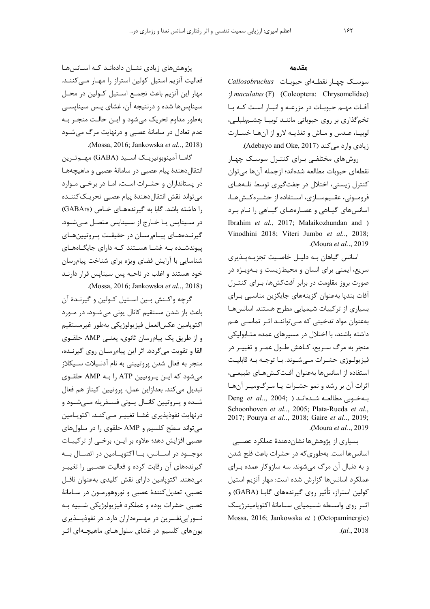### مقدمه

سوسک چهـار نقطـهای حبوبـات Callosobruchus ; maculatus (F) (Coleoptera: Chrysomelidae) آفات مهـم حبوبـات در مزرعـه و انبـار اسـت كـه بـا تخم گذاری بر روی حبوباتی مانند لوبیـا چشـمبلبلـی، لوبيـا، عـدس و مـاش و تغذيـه لارو از آنهـا خسـارت زیادی وارد می کند (Adebayo and Oke, 2017).

روشهای مختلفی برای کنترل سوسک چهار نقطهای حبوبات مطالعه شدهاند؛ ازجمله آنها می توان کنترل زیستی، اختلال در جفتگیری توسط تلـههـای فرومـونى، عقـيمسـازى، اسـتفاده از حشـرهكـشهـا، اسانس های گیـاهی و عصـارههـای گیـاهی را نـام بـرد Ibrahim et al., 2017; Malaikozhundan and ) Vinodhini 2018; Viteri Jumbo et al., 2018; Moura et al., 2019).

اسانس گیاهان بـه دلیـل خاصـیت تجزیـهپـذیری سریع، ایمنی برای انسان و محیطزیست و بـهویـژه در صورت بروز مقاومت در برابر آفت کش ها، بـرای کنتـرل آفات بندپا بهعنوان گزينههاي جايگزين مناسبي براي بسیاری از ترکیبات شیمیایی مطرح هستند. اسانسها بهعنوان مواد تدخيني كه مـي تواننـد اثـر تماسـي هـم داشته باشند، با اختلال در مسیرهای عمده متـابولیکی منجر به مرگ سـريع، كـاهش طـول عمـر و تغييـر در فيزيولـوژي حشـرات مـي شـوند. بـا توجـه بـه قابليـت استفاده از اسانس ها بهعنوان آفت *کــش هــای طبیعــی*، اثرات آن بر رشد و نمو حشـرات یـا مـرگومیـر آنهـا Deng et al., 2004; ) شدهاند ( .Deng et al., 2004 Schoonhoven et al., 2005; Plata-Rueda et al., 2017; Pourya et al.., 2018; Gaire et al.., 2019; Moura et al., 2019).

بسیاری از پژوهشها نشاندهندهٔ عملکرد عصبی اسانسها است. بهطوری که در حشرات باعث فلج شدن و به دنبال آن مرگ می شوند. سه سازوکار عمده برای عملكرد اسانس ها گزارش شده است: مهار آنزیم استیل کولین استراز، تأثیر روی گیرندههای گابـا (GABA) و اثیر روی واسیطه شییمیایی سیامانهٔ اکتوپامینرژییک Mossa, 2016; Jankowska et ) (Octopaminergic)  $. (al., 2018)$ 

پژوهشهای زیادی نشـان دادهانـد کـه اسـانسهـا فعالیت آنزیم استیل کولین استراز را مهـار مـیکننـد. مهار این آنزیم باعث تجمـع اسـتیل کـولین در محـل سیناپسها شده و درنتیجه آن، غشای پس سیناپسی بهطور مداوم تحریک میشود و ایـن حالـت منجـر بـه عدم تعادل در سامانهٔ عصبی و درنهایت مرگ می شود .(Mossa, 2016; Jankowska et al., 2018).

گامــا آمينوبوتيريــک اســيد (GABA) مهــمتــرين انتقال دهندهٔ پیام عصبی در سامانهٔ عصبی و ماهیچههـا در پستانداران و حشـرات اسـت، امـا در برخـى مـوارد مي تواند نقش انتقال دهندة ييام عصبي تحريـك كننــده را داشته باشد. گابا به گیرندههای خـاص (GABArs) در سیناپس یا خـارج از سـیناپس متصـل مـیشـود. گیرنـدههـای پیـام٫سـان در حقیقـت پـروتیینهـای پیوندشده به غشا هستند که دارای جایگاههای شناسایی با آرایش فضای ویژه برای شناخت پیامرسان .<br>خود هستند و اغلب در ناحیه پس سینایس قرار دارنـد .(Mossa, 2016; Jankowska et al.., 2018)

گرچه واکـنش بـين اسـتيل کـولين و گيرنـدۀ آن باعث باز شدن مستقیم کانال یونی می شــود، در مــورد اكتويامين عكسالعمل فيزيولوژيكي بهطور غيرمستقيم و از طریق یک پیام,سان ثانوی، یعنے، AMP حلقــوی القا و تقویت میگردد. اثر این پیامرسان روی گیرنده، منجر به فعال شدن پروتیینی به نام آدنـیلات سـیکلاز می شود که ایـن پـروتیین ATP را بـه AMP حلقـوی تبديل مي كند. بعدازاين عمل، پروتيين كيناز هم فعال شـده و پـروتيين كانـال يـونى فسـفريله مـىشـود و درنهايت نفوذيذيري غشــا تغييــر مــي كنــد. اكتويــامين می تواند سطح کلسیم و AMP حلقوی را در سلول های عصبی افزایش دهد؛ علاوه بر ایـن، برخـی از ترکیبـات موجـــود در اســـانس، بـــا اكتوپـــامين در اتصــال بـــه گیرندههای آن رقابت کرده و فعالیت عصبی را تغییـر می دهند. اکتوپامین دارای نقش کلیدی بهعنوان ناقـل عصبي، تعديل كنندة عصبي و نوروهورمـون در سـامانهٔ عصبي حشرات بوده و عملكرد فيزيولوژيكي شـبيه بـه نــورایی نفــرین در مهــرمداران دارد. در نفوذیـــذیری یون های کلسیم در غشای سلول هـای ماهیچـهای اثـر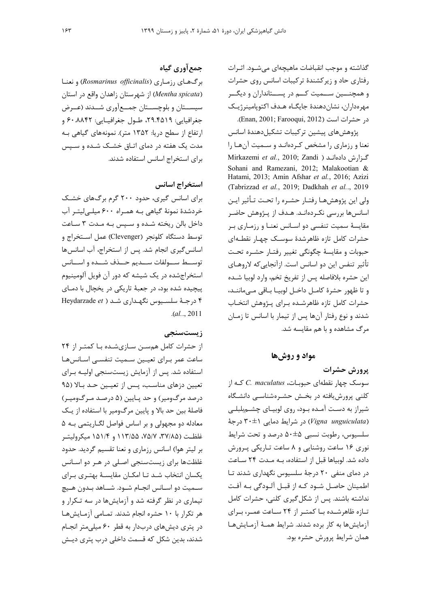گذاشته و موجب انقباضات ماهیچهای می شـود. اثـرات رفتاری حاد و زیر کشندهٔ ترکیبات اسانس روی حشرات و همچنـــین ســمیت کــم در پســتانداران و دیگــر مهرەداران، نشاندهندهٔ جایگـاه هـدف اکتوپامینرژیـک در حشرات است (Enan, 2001; Farooqui, 2012).

پژوهشهای پیشین ترکیبات تشکیلدهندهٔ اسانس نعنا و رزماری را مشخص کردهاند و سـمیت آنهـا را Mirkazemi et al., 2010; Zandi ) كزارش دادهاند ( Sohani and Ramezani, 2012; Malakootian & Hatami, 2013; Amin Afshar et al., 2016; Azizi (Tabrizzad et al., 2019; Dadkhah et al., 2019) ولی این پژوهشهـا رفتـار حشـره را تحـت تـأثیر ایـن اسانسها بررسی نکـردهانـد. هـدف از پـژوهش حاضـر مقایسهٔ سمیت تنفسی دو اسـانس نعنـا و رزمـاری بـر حشرات كامل تازه ظاهرشدهٔ سوسك چهـار نقطـهاى حبوبات و مقايسهٔ چگونگی تغيير رفتـار حشـره تحـت تأثیر تنفس این دو اسانس است. ازآنجایی که لاروهـای این حشره بلافاصله پس از تفریخ تخم، وارد لوبیا شـده و تا ظهور حشرۂ کامـل داخـل لوبيـا بـاقى مـى ماننـد، حشرات كامل تازه ظاهرشده براى پـژوهش انتخـاب شدند و نوع رفتار آنها پس از تیمار با اسانس تا زمـان مرگ مشاهده و با هم مقایسه شد.

مواد و روشها

يرورش حشرات  $C.$  maculatus سوسک چهار نقطهای حبوبات،  $C.$  maculatus که از کلنی پرورش یافته در بخش حشرهشناسی دانشگاه شیراز به دست آمده بود، روی لوبیـای چشـم،بلبلـی (Vigna unguiculata) در شرایط دمایی ۳۰±۳۰ درجهٔ سلسیوس، رطوبت نسبی ۵۰±۵۰ درصد و تحت شرایط نوری ۱۶ ساعت روشنایی و ۸ ساعت تـاریکی پـرورش داده شد. لوبیاها قبل از استفاده، به مـدت ٢۴ سـاعت در دمای منفی ۲۰ درجهٔ سلسیوس نگهداری شدند تـا اطمينان حاصل شـود كـه از قبـل آلـودگى بـه آفـت نداشته باشند. پس از شکل گیری کلنی، حشرات کامل تازه ظاهرشده با کمتر از ۲۴ ساعت عمـر، بـرای آزمایشها به کار برده شدند. شرایط همـهٔ آزمـایشهـا همان شرایط پرورش حشره بود.

# جمع آوري گياه

برگهای رزماری (Rosmarinus officinalis) و نعنا از شهرستان زاهدان واقع در استان (Mentha spicata) سیســتان و بلوچســتان جمــع[وری شــدند (عــرض جغرافيايي: ٢٩.۴۵١٩، طـول جغرافيـايي: ۶۰.۸۸۴۲ و ارتفاع از سطح دریا: ۱۳۵۲ متر). نمونههای گیاهی بـه مدت یک هفته در دمای اتـاق خشـک شـده و سـپس برای استخراج اسانس استفاده شدند.

## استخراج اسانس

برای اسانس گیری، حدود ۲۰۰ گرم برگهای خشـک خردشدهٔ نمونهٔ گیاهی بـه همـراه ۶۰۰ میلـیلیتـر آب داخل بالن ریخته شده و سپس به مدت ۳ ساعت توسط دستگاه کلونجر (Clevenger) عمل استخراج و اسانس گیری انجام شد. پس از استخراج، آب اسانس ها توسـط ســولفات ســديم حــذف شــده و اســانس استخراجشده در یک شیشه که دور آن فویل آلومینیوم پیچیده شده بود، در جعبهٔ تاریکی در یخچال با دمـای ۴ درجة سلسيوس نگهداري شد ( Heydarzade et  $. (al... 2011)$ 

## زیستسنجے

از حشرات کامل همسـن سـازىشـده بـا کمتـر از ۲۴ ساعت عمر بـراي تعيـين سـميت تنفسـى اسـانسهـا استفاده شد. پس از آزمایش زیستسنجی اولیـه بـرای تعیین دزهای مناسب، پس از تعیین حـد بـالا (۹۵ درصد مرگومیر) و حد پـایین (۵ درصـد مـرگومیـر) فاصلهٔ بین حد بالا و پایین مرگومیر با استفاده از یـک معادله دو مجهولی و بر اساس فواصل لگـاریتمی بـه ۵ غلظـت (٣٧/٨۵، ٧۵/٧، ١١٣/۵۵، ١١/١/٩ ميكروليتــر بر لیتر هوا) اسانس رزماری و نعنا تقسیم گردید. حدود غلظتها برای زیستسنجی اصلی در هـر دو اسـانس یکسان انتخاب شد تا امکان مقایسهٔ بهتری برای سـميت دو اسـانس انجـام شـود. شــاهد بـدون هـيچ تیماری در نظر گرفته شد و آزمایشها در سه تـکرار و هر تكرار با ١٠ حشره انجام شدند. تمـامى آزمـايشهـا در پتری دیشهای دربدار به قطر ۶۰ میلی متر انجـام شدند، بدین شکل که قسمت داخلی درب پتری دیـش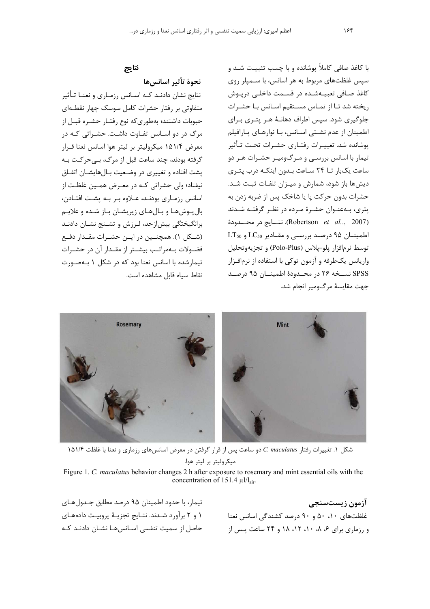## نتايج

نحوة تأثير اسانس ها نتایج نشان دادنـد کـه اسـانس رزمـاری و نعنـا تـأثير متفاوتی بر رفتار حشرات کامل سوسک چهار نقطـهای حبوبات داشتند؛ بهطوری که نوع رفتـار حشـره قبـل از مرگ در دو اسـانس تفـاوت داشـت. حشـراتی کـه در معرض ۱۵۱/۴ میکرولیتر بر لیتر هوا اسانس نعنا قبرار گرفته بودند، چند ساعت قبل از مرگ، بے حرکت بـه يشت افتاده و تغييري در وضـعيت بـالهايشـان اتفـاق نیفتاد؛ ولی حشراتی کـه در معـرض همـین غلظـت از اسانس رزمـاری بودنـد، عـلاوه بـر بـه پشـت افتـادن، بال بوش هـا و بـال هـای زیریشـان بـاز شـده و علایـم برانگیختگی بیش|زحد، لرزش و تشـنج نشـان دادنـد (شـكل ۱). همچنــين در ايــن حشــرات مقــدار دفــع فضـولات بـهمراتـب بيشـتر از مقـدار آن در حشـرات تیمارشده با اسانس نعنا بود که در شکل ۱ بـهصـورت نقاط سياه قابل مشاهده است.

با کاغذ صافی کاملاً پوشانده و با چسب تثبیت شـد و سپس غلظتهای مربوط به هر اسانس، با سـمپلر روی كاغذ صـافي تعبيــهشـده در قســمت داخلــي دريــوش ریخته شد تا از تمـاس مسـتقیم اسـانس بـا حشـرات جلوگیری شود. سپس اطراف دهانـهٔ هـر پتـری بـرای اطمینان از عدم نشـتی اسـانس، بـا نوارهـای پـارافیلم پوشانده شد. تغییـرات رفتـاری حشـرات تحـت تـأثیر تیمار با اسانس بررسـی و مـرگ6میـر حشـرات هـر دو ساعت یکبار تــا ۲۴ سـاعت بـدون اینکـه درب پتـری دیشها باز شود، شمارش و میـزان تلفـات ثبـت شـد. حشرات بدون حرکت یا یا شاخک پس از ضربه زدن به یتری، بـهعنـوان حشـرهٔ مـرده در نظـر گرفتـه شـدند (Robertson et al.., 2007). نتسايج در محسدودة  $LT_{50}$  اطمینــان ۹۵ درصـد بررسـی و مقـادیر LT<sub>50</sub> و توسط نرمافزار پلو-پلاس (Polo-Plus) و تجزیهوتحلیل واریانس یکطرفه و آزمون توکی با استفاده از نرمافـزار SPSS نسـخه ۲۶ در محـدودهٔ اطمینــان ۹۵ درصـد جهت مقايسة مرگ1مير انجام شد.



شكل ١. تغييرات رفتار C. maculatus دو ساعت پس از قرار گرفتن در معرض اسانسهای رزماری و نعنا با غلظت ١۵١/۴ ميكروليتر بر ليتر هوا.

Figure 1. C. maculatus behavior changes 2 h after exposure to rosemary and mint essential oils with the concentration of 151.4  $\mu$ l/l<sub>air</sub>.

تیمار، با حدود اطمینان ۹۵ درصد مطابق جـدولهـای ١ و ٢ برآورد شدند. نتايج تجزيـهٔ پروبيـت دادههـاى حاصل از سمیت تنفسی اسـانس۵هـا نشـان دادنـد کـه

آزمون زیستسنجی غلظتهای ۱۰، ۵۰ و ۹۰ درصد کشندگی اسانس نعنا و رزماری برای ۶، ۸، ۱۰، ۱۲، ۱۸ و ۲۴ ساعت پیس از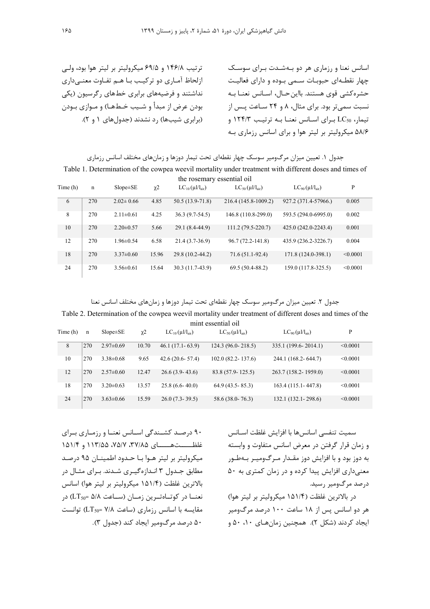ترتیب ۱۴۶/۸ و ۶۹/۵ میکرولیتر بر لیتر هوا بود، ولی ازلحاظ آماری دو ترکیب با هم تفاوت معنےداری .<br>نداشتند و فرضیههای دادی خطهای گرسیون (یک يودن عرض إز مبدأ و شبيب خبطهيا) و مبوازي بيودن (دادی شیبها) ، د نشدند (حدولهای ۱ و ۲).

سانس نعنا و رزماری هر دو پهشیدت برای سوسک چهار نقطـهای حبوبـات سـمی بـوده و دارای فعالیـت حشره *ک*شی قوی هستند. بااین حـال، اسـانس نعنـا بـه نسبت سمی تر بود. برای مثال، ۸ و ۲۴ سـاعت پـس از  $LC_{50}$  تیمار،  $LC_{50}$  برای اسـانس نعنـا بـه ترتیـب ۱۲۴/۳ و ۵۸/۶ میکرولیتر بر لیتر هوا و برای اسانس رزماری بـه

جدول ۱. تعیین میزان مرگومیر سوسک چهار نقطهای تحت تیمار دوزها و زمانهای مختلف اسانس رزماری Table 1. Determination of the cowpea weevil mortality under treatment with different doses and times of

| the rosemary essential oil |     |                 |                     |                                 |                                 |                                 |          |  |
|----------------------------|-----|-----------------|---------------------|---------------------------------|---------------------------------|---------------------------------|----------|--|
| Time (h)                   | n   | $Slope \pm SE$  | $\chi$ <sup>2</sup> | $LC_{10}(\mu l/l_{\text{air}})$ | $LC_{50}(\mu l/l_{\text{air}})$ | $LC_{90}(\mu l/l_{\text{air}})$ | P        |  |
| 6                          | 270 | $2.02 \pm 0.66$ | 4.85                | $50.5(13.9-71.8)$               | 216.4 (145.8-1009.2)            | 927.2 (371.4-57966.)            | 0.005    |  |
| 8                          | 270 | $2.11 \pm 0.61$ | 4.25                | $36.3(9.7-54.5)$                | 146.8 (110.8-299.0)             | 593.5 (294.0-6995.0)            | 0.002    |  |
| 10                         | 270 | $2.20 \pm 0.57$ | 5.66                | 29.1 (8.4-44.9)                 | $111.2(79.5-220.7)$             | 425.0 (242.0-2243.4)            | 0.001    |  |
| 12                         | 270 | $1.96 \pm 0.54$ | 6.58                | $21.4(3.7-36.9)$                | 96.7 (72.2-141.8)               | 435.9 (236.2-3226.7)            | 0.004    |  |
| 18                         | 270 | $3.37\pm0.60$   | 15.96               | 29.8 (10.2-44.2)                | $71.6(51.1-92.4)$               | 171.8 (124.0-398.1)             | < 0.0001 |  |
| 24                         | 270 | $3.56 \pm 0.61$ | 15.64               | $30.3(11.7-43.9)$               | $69.5(50.4-88.2)$               | 159.0 (117.8-325.5)             | < 0.0001 |  |

',- .-\* ÉC= H H ( )W( 567- 12 3\*4\* ] 2 .,(Y 
JAM

Table 2. Determination of the cowpea weevil mortality under treatment of different doses and times of the mint essential oil

| пши сээсниат он |     |                 |                     |                                 |                                 |                                 |          |  |  |
|-----------------|-----|-----------------|---------------------|---------------------------------|---------------------------------|---------------------------------|----------|--|--|
| Time (h)        | n   | $Slope \pm SE$  | $\chi$ <sub>2</sub> | $LC_{10}(\mu l/l_{\text{air}})$ | $LC_{50}(\mu l/l_{\text{air}})$ | $LC_{90}(\mu l/l_{\text{air}})$ | P        |  |  |
| 8               | 270 | $2.97\pm0.69$   | 10.70               | $46.1(17.1-63.9)$               | $124.3(96.0 - 218.5)$           | 335.1 (199.6-2014.1)            | < 0.0001 |  |  |
| 10              | 270 | $3.38 \pm 0.68$ | 9.65                | $42.6(20.6 - 57.4)$             | $102.0(82.2 - 137.6)$           | 244.1 (168.2-644.7)             | < 0.0001 |  |  |
| 12              | 270 | $2.57\pm0.60$   | 12.47               | $26.6(3.9-43.6)$                | $83.8(57.9 - 125.5)$            | 263.7 (158.2-1959.0)            | < 0.0001 |  |  |
| 18              | 270 | $3.20 \pm 0.63$ | 13.57               | $25.8(6.6 - 40.0)$              | $64.9(43.5 - 85.3)$             | $163.4(115.1 - 447.8)$          | < 0.0001 |  |  |
| 24              | 270 | $3.63 \pm 0.66$ | 15.59               | $26.0(7.3-39.5)$                | $58.6(38.0 - 76.3)$             | $132.1(132.1 - 298.6)$          | < 0.0001 |  |  |

سميت تنفسي إسانس ها با افزايش غلظت اسـانس و زمان قرار گرفتن در معرض اسانس متفاوت و وابسته به دوز بود و با افزایش دوز مقـدار مـرگ1ومیـر بــهطـور معنی داری افزایش پیدا کرده و در زمان کمتری به ۵۰ درصد مرگ1میر رسید.

در بالاترين غلظت (۱۵۱/۴ ميكروليتر بر ليتر هوا) هر دو اسانس پس از ۱۸ ساعت ۱۰۰ درصد مرگ ومیر ایجاد کردند (شکل ۲). همچنین زمان هبای ۱۰، ۵۰،

۹۰ درصد کشـندگی اسـانس نعنـا و رزمـاری بـرای 151 113 4/ 85/37 7/75 55/ 00000H)00000 Ce ميكروليتر بر ليتر هـوا بـا حـدود اطمينـان ٩۵ درصـد مطابق حـدول ۳ انـدا: ه گب ی شــدند. ب ای مثــال در بالاترين غلظت (١۵١/۴ ميكروليتر بر ليتر هوا) اسانس  $(LT_{50} = \Delta/\lambda$  نعنــا در کوتــاهتــرین زمــان (ســاعت  $(LT_{50} = \Delta/\lambda)$  در  $(LT_{50} = V/A$  مقایسه با اسانس رزماری (ساعت ۷/۸ =LT<sub>50</sub>  $\alpha$  درصد مرگ1میر ایجاد کند (جدول ۳).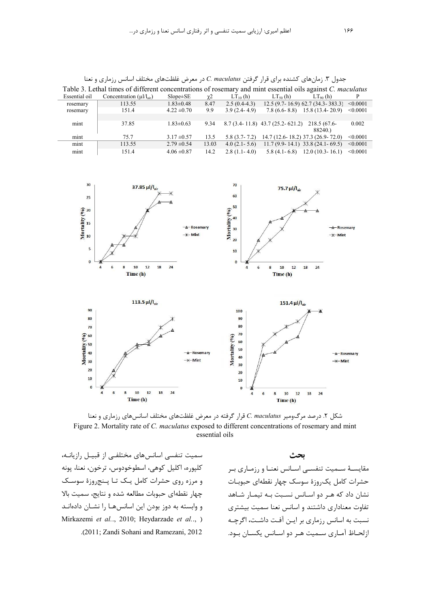| Table 3. Lethal times of different concentrations of rosemary and mint essential oils against C. maculatus |                                 |                 |          |                  |                                       |                                        |          |  |  |
|------------------------------------------------------------------------------------------------------------|---------------------------------|-----------------|----------|------------------|---------------------------------------|----------------------------------------|----------|--|--|
| Essential oil                                                                                              | Concentration $(\mu I/I_{air})$ | $Slope \pm SE$  | $\chi$ 2 | $LT_{10}$ (h)    | $LT50$ (h)                            | $LT90$ (h)                             | P        |  |  |
| rosemary                                                                                                   | 113.55                          | $1.83 \pm 0.48$ | 8.47     | $2.5(0.4-4.3)$   |                                       | $12.5(9.7 - 16.9)$ 62.7 (34.3 - 383.3) | < 0.0001 |  |  |
| rosemary                                                                                                   | 151.4                           | $4.22 \pm 0.70$ | 9.9      | $3.9(2.4-4.9)$   |                                       | $7.8(6.6-8.8)$ 15.8 (13.4-20.9)        | < 0.0001 |  |  |
|                                                                                                            |                                 |                 |          |                  |                                       |                                        |          |  |  |
| mint                                                                                                       | 37.85                           | $1.83 \pm 0.63$ | 9.34     |                  | $8.7(3.4 - 11.8)$ 43.7 (25.2 - 621.2) | 218.5 (67.6-                           | 0.002    |  |  |
|                                                                                                            |                                 |                 |          |                  |                                       | 88240.                                 |          |  |  |
| mint                                                                                                       | 75.7                            | $3.17 \pm 0.57$ | 13.5     | $5.8(3.7-7.2)$   |                                       | 14.7 (12.6-18.2) 37.3 (26.9-72.0)      | < 0.0001 |  |  |
| mint                                                                                                       | 113.55                          | $2.79 \pm 0.54$ | 13.03    | $4.0(2.1-5.6)$   |                                       | $11.7(9.9 - 14.1)$ 33.8 (24.1 - 69.5)  | < 0.0001 |  |  |
| mint                                                                                                       | 151.4                           | $4.06 \pm 0.87$ | 14.2     | $2.8(1.1 - 4.0)$ | $5.8(4.1 - 6.8)$                      | $12.0(10.3 - 16.1)$                    | < 0.0001 |  |  |

جدول ۳. زمانهای کشنده برای قرار گرفتن C. maculatus در معرض غلظتهای مختلف اسانس رزماری و نعنا

 $30$  $70$  $37.85 \mu I/I_{\text{air}}$  $75.7$   $\mu$ l/l<sub>air</sub> 60  $25$ Mortality  $\begin{pmatrix} 0 & 0 \\ 0 & 0 \\ 0 & 0 \end{pmatrix}$ 50 Mortality (%) 40 Rosemary  $30^{\circ}$  $+$ Mint  $\frac{1}{2}$  Mint  $\overline{20}$  $\overline{\phantom{a}}$  $10$  $\overline{0}$  $\sqrt{2}$  $10$  $12$ 18  $10$  $12$  $\overline{24}$  $\overline{\mathbf{a}}$ 18  $\overline{24}$ Time (h) Time (h)  $113.5 \,\mu$ l/l<sub>ait</sub>  $151.4 \mu$ l/l<sub>air</sub> 90 100 80 90 80  $70$ Mortality  $(96)$ <br> $88$   $88$   $8$  $70$ Mortality (%) 60 50 A Roseman A-Rosemary  $40$  $+$ Mint  $*$ -Mint  $30$  $20$  $\overline{20}$  $10$  $10$  $\sqrt{2}$  $\mathbf{0}$  $\overline{\mathbf{6}}$  $10$  $\overline{\mathbf{8}}$  $12$ 18  $\overline{24}$  $18$  $\overline{24}$  $\overline{4}$  $\overline{4}$  $6\phantom{a}$  $\overline{\mathbf{8}}$  $10$  $12$ Time (h) Time (h)

شکل ۲. درصد مرگومیر C. maculatus قرار گرفته در معرض غلظتهای مختلف اسانسهای رزماری و نعنا Figure 2. Mortality rate of C. maculatus exposed to different concentrations of rosemary and mint essential oils

سمیت تنفسی اسانسهای مختلفے از قبیـل رازیانــه، كليوره، اكليل كوهي، اسطوخودوس، ترخون، نعنا، يونه و مرزه روی حشرات کامل یک تا پنج روزهٔ سوسک چهار نقطهای حبوبات مطالعه شده و نتایج، سمیت بالا و وابسته به دوز بودن این اسانسها را نشـان دادهانـد Mirkazemi et al., 2010; Heydarzade et al., ) .(2011; Zandi Sohani and Ramezani, 2012).

بحث مقایسـهٔ ســمیت تنفســی اســانس نعنــا و رزمــاری بــر حشرات كامل يكروزة سوسك جهار نقطهاى حبوبـات نشان داد که هـر دو اسـانس نسـبت بـه تیمـار شـاهد تفاوت معناداری داشتند و اسانس نعنا سمیت بیشتری نسبت به اسانس رزماری بر ایـن آفـت داشـت، اگرچـه ازلحـاظ آمـاري سـميت هـر دو اسـانس يكسـان بـود.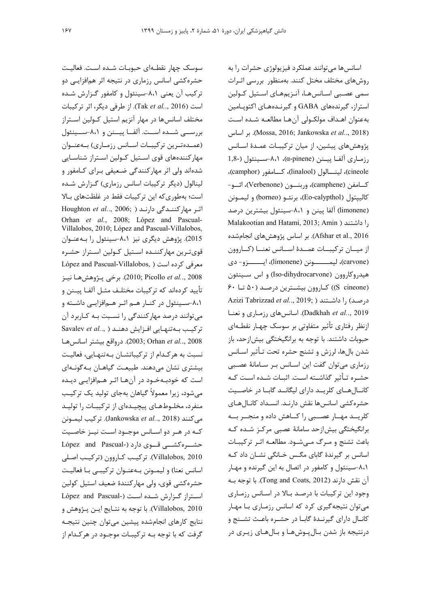سوسک چهار نقطـهای حبوبـات شـده اسـت. فعالیـت حشره کشی اسانس رزماری در نتیجه اثر همافزایی دو ترکیب آن یعنی ۸،۱-سینئول و کامفور گزارش شده است (2016 ...Tak et al.., از طرفی دیگر، اثر ترکیبات مختلف اسانسها در مهار آنزيم استيل كـولين اسـتراز بررســي شــده اســت. آلفــا پيــنن و ٨،١-ســينئول (عمـدهتـرین ترکیبـات اسـانس رزمـاری) بـهعنـوان مهارکنندههای قوی استیل کـولین اسـتراز شناسـایی شدهاند ولی اثر مهارکنندگی ضعیفی برای کامفور و لینالول (دیگر ترکیبات اسانس رزماری) گزارش شده است؛ بهطوری که این ترکیبات فقط در غلظتهای بالا Houghton et al.., 2006; ) اثر مهاركنندگی دارند Orhan et al., 2008; López and Pascual-Villalobos, 2010; López and Pascual-Villalobos, 2015). پژوهش دیگری نیز ۸،۱-سینئول را بـهعنـوان قوىترين مهاركننده استيل كولين استراز حشره López and Pascual-Villalobos, ) معرفی کرده است 2008 ,..Picollo et al... برخي پـژوهش هـا نيـز تأييد كردهاند كه تركيبات مختلـف مثـل آلفـا ييــنن و ۸،۱-سـینئول در کنــار هــم اثــر هــمافزایــی داشــته و میتوانند درصد مهارکنندگی را نسبت بـه کـاربرد آن ترکیب به تنهایی افزایش دهند ( ,..Savalev et al 2008; Orhan et al.., 2008). درواقع بيشتر اسانس ها نسبت به هركدام از تركيباتشان بهتنهايي، فعاليت بیشتری نشان می دهند. طبیعت گیاهـان بـه گونـهای است که خودبـهخـود در آنهـا اثـر هـمافزايـى ديـده می شود، زیرا معمولاً گیاهان بهجای تولید یک ترکیب منفرد، مخلوطهای پیچیدهای از ترکیبات را تولید مي كنند (Jankowska et al.., 2018). تركيب ليمونن کـه در هـر دو اسـانس موجـود اسـت نيـز خاصـيت حشوه کشتی قوی دارد (-López and Pascual Villalobos, 2010). تركيب كـاروون (تركيب اصـلى اسانس نعنا) و ليمـونن بـهعنـوان تركيبـي بـا فعاليـت حشره كشي قوى، ولي مهاركنندهٔ ضعيف استيل كولين استراز گزارش شده است (-López and Pascual Villalobos, 2010). با توجه به نتـايج ايـن پـژوهش و نتايج كارهاى انجامشده پيشين مىتوان چنين نتيجـه گرفت که با توجه بـه ترکیبـات موجـود در هرکـدام از

اسانسها میتوانند عملکرد فیزیولوژی حشرات را به روشهای مختلف مختل کنند. بهمنظور بررسی اثـرات سمی عصبی اسانسها، آنـزیمهـای اسـتیل کـولین استراز، گیرندههای GABA و گیرنـدههـای اکتوپـامین به عنوان اهـداف مولكـولى آنهـا مطالعـه شـده اسـت (Mossa, 2016; Jankowska et al.., 2018). بر اساس پژوهشهای پیشین، از میان ترکیبـات عمـدهٔ اسـانس 1,8-) رزمـاری آلفـا پیـنن (α-pinene)، ۸،۱-سـینئول (-1,8 cineole)، لينـــالول (linalool)، كـــامفو, (camphor)، كـامفن (camphene)، وربنـــون (Verbenone)، ائــو-كاليپتول (Eo-calypthol)، برنئــو (borneo) و ليمــونن (limonene) آلفا پینن و ۸،۱-سینئول بیشترین درصد Malakootian and Hatami, 2013; Amin ) داشتند ( Afshar et al., 2016). بر اساس پژوهشهای انجامشده از میسان ترکیبسات عمسدهٔ اسسانس نعنسا (کساروون (carvone)، ليمـــــــونن (limonene)، ايــــــزو- دى هیدروکاروون (Iso-dihydrocarvone) و اس سینئون (S cineone)) کـاروون بيشــترين درصـد (۵۰ تــا ۶۰ Azizi Tabrizzad et al.., 2019; ) درصد) را داشتند Dadkhah et al.., 2019). اسانس های رزماری و نعنا ازنظر رفتاری تأثیر متفاوتی بر سوسک چهـار نقطــهای حبوبات داشتند. با توجه به برانگیختگی بیش|زحد، باز شدن بالها، لرزش و تشنج حشره تحت تـأثير اسـانس رزماری میتوان گفت این اسانس بر سامانهٔ عصبی حشـره تـأثير گذاشـته اسـت. اثبـات شـده اسـت كـه کانالهای کلرید دارای لیگاند گابا در خاصیت حشره كشى اسانسها نقش دارنـد. انسـداد كانـالهـاى كلريــد مهــار عصــبى را كــاهش داده و منجــر بــه برانگیختگی بیش ازحد سامانهٔ عصبی مرکز شده که باعث تشنج و مرگ مهشود. مطالعه اثر ترکیبات اسانس بر گیرندهٔ گابای مگس خـانگی نشـان داد کـه ۸،۱-سینئول و کامفور در اتصال به این گیرنده و مهـار آن نقش دارند (Tong and Coats, 2012). با توجه بـه وجود این ترکیبات با درصد بالا در اسانس رزماری می توان نتیجه گیری کرد که اسانس رزماری با مهار كانال داراي گيرنـدهٔ گابـا در حشـره باعـث تشـنج و درنتيجه باز شدن بـالپـوشهـا و بـالهـاي زيـري در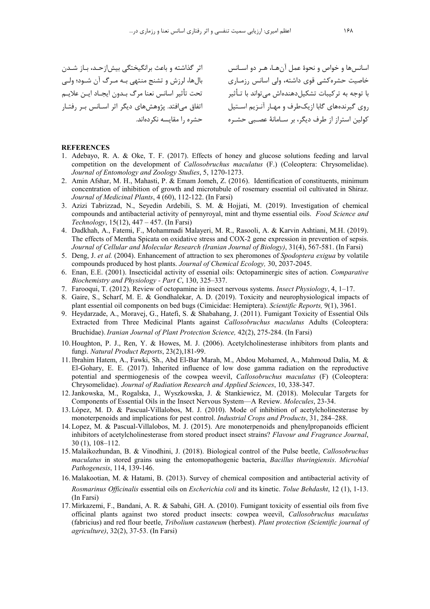اثر گذاشته و باعث برانگیختگی بیشان *ج*لد، بیان شیدن بال ها، ل: ش و تشنج منتص بـه مـه گ آن شـود؛ ولـه ر تحت تأثير اسانس نعنا مرگ بـدون ايجـاد ايــن علايــم اتفاق می|فتد. پژوهشهای دیگر اثر اسـانس بـر رفتـار حشره ,ا مقايسه نكردهاند. .<br>سانس ها و خواص و نحوۀ عمل آن هـا، هــر دو اســانس خاصیت حشاه کشی قوی داشته، ولی اسانس رزمباری با توجه به ترکیبات تشکیل دهندهاش مے تواند با تــأثبر روی گیرندههای گابا از یکطرف و مهـار آنـزیم اسـتیل كولين استراز از طرف ديگر، بر سـامانهٔ عصـبي حشـره

#### **REFERENCES**

- 1. Adebayo, R. A. & Oke, T. F. (2017). Effects of honey and glucose solutions feeding and larval competition on the development of *Callosobruchus maculatus* (F.) (Coleoptera: Chrysomelidae). *Journal of Entomology and Zoology Studies*, 5, 1270-1273.
- 2. Amin Afshar, M. H., Mahasti, P. & Emam Jomeh, Z. (2016). Identification of constituents, minimum concentration of inhibition of growth and microtubule of rosemary essential oil cultivated in Shiraz. *Journal of Medicinal Plants*, 4 (60), 112-122. (In Farsi)
- 3. Azizi Tabrizzad, N., Seyedin Ardebili, S. M. & Hojjati, M. (2019). Investigation of chemical compounds and antibacterial activity of pennyroyal, mint and thyme essential oils. *Food Science and Technology*, 15(12), 447 – 457. (In Farsi)
- 4. Dadkhah, A., Fatemi, F., Mohammadi Malayeri, M. R., Rasooli, A. & Karvin Ashtiani, M.H. (2019). The effects of Mentha Spicata on oxidative stress and COX-2 gene expression in prevention of sepsis. *Journal of Cellular and Molecular Research (Iranian Journal of Biology)*, 31(4), 567-581. (In Farsi)
- 5. Deng, J. *et al.* (2004). Enhancement of attraction to sex pheromones of *Spodoptera exigua* by volatile compounds produced by host plants. *Journal of Chemical Ecology,* 30, 2037-2045.
- 6. Enan, E.E. (2001). Insecticidal activity of essenial oils: Octopaminergic sites of action. *Comparative Biochemistry and Physiology - Part C*, 130, 325–337.
- 7. Farooqui, T. (2012). Review of octopamine in insect nervous systems. *Insect Physiology*, 4, 1–17.
- 8. Gaire, S., Scharf, M. E. & Gondhalekar, A. D. (2019). Toxicity and neurophysiological impacts of plant essential oil components on bed bugs (Cimicidae: Hemiptera). *Scientific Reports,* 9(1), 3961.
- 9. Heydarzade, A., Moravej, G., Hatefi, S. & Shabahang, J. (2011). Fumigant Toxicity of Essential Oils Extracted from Three Medicinal Plants against *Callosobruchus maculatus* Adults (Coleoptera: Bruchidae). *Iranian Journal of Plant Protection Science,* 42(2), 275-284. (In Farsi)
- 10. Houghton, P. J., Ren, Y. & Howes, M. J. (2006). Acetylcholinesterase inhibitors from plants and fungi. *Natural Product Reports*, 23(2),181-99.
- 11.Ibrahim Hatem, A., Fawki, Sh., Abd El-Bar Marah, M., Abdou Mohamed, A., Mahmoud Dalia, M. & El-Gohary, E. E. (2017). Inherited influence of low dose gamma radiation on the reproductive potential and spermiogenesis of the cowpea weevil, *Callosobruchus maculatus* (F) (Coleoptera: Chrysomelidae). *Journal of Radiation Research and Applied Sciences*, 10, 338-347.
- 12.Jankowska, M., Rogalska, J., Wyszkowska, J. & Stankiewicz, M. (2018). Molecular Targets for Components of Essential Oils in the Insect Nervous System—A Review. *Molecules*, 23-34.
- 13. López, M. D. & Pascual-Villalobos, M. J. (2010). Mode of inhibition of acetylcholinesterase by monoterpenoids and implications for pest control. *Industrial Crops and Products*, 31, 284–288.
- 14. Lopez, M. & Pascual-Villalobos, M. J. (2015). Are monoterpenoids and phenylpropanoids efficient inhibitors of acetylcholinesterase from stored product insect strains? *Flavour and Fragrance Journal*, 30 (1), 108–112.
- 15. Malaikozhundan, B. & Vinodhini, J. (2018). Biological control of the Pulse beetle, *Callosobruchus maculatus* in stored grains using the entomopathogenic bacteria, *Bacillus thuringiensis*. *Microbial Pathogenesis*, 114, 139-146.
- 16. Malakootian, M. & Hatami, B. (2013). Survey of chemical composition and antibacterial activity of *Rosmarinus Officinalis* essential oils on *Escherichia coli* and its kinetic. *Tolue Behdasht*, 12 (1), 1-13. (In Farsi)
- 17. Mirkazemi, F., Bandani, A. R. & Sabahi, GH. A. (2010). Fumigant toxicity of essential oils from five officinal plants against two stored product insects: cowpea weevil, *Callosobruchus maculatus* (fabricius) and red flour beetle, *Tribolium castaneum* (herbest). *Plant protection (Scientific journal of agriculture)*, 32(2), 37-53. (In Farsi)